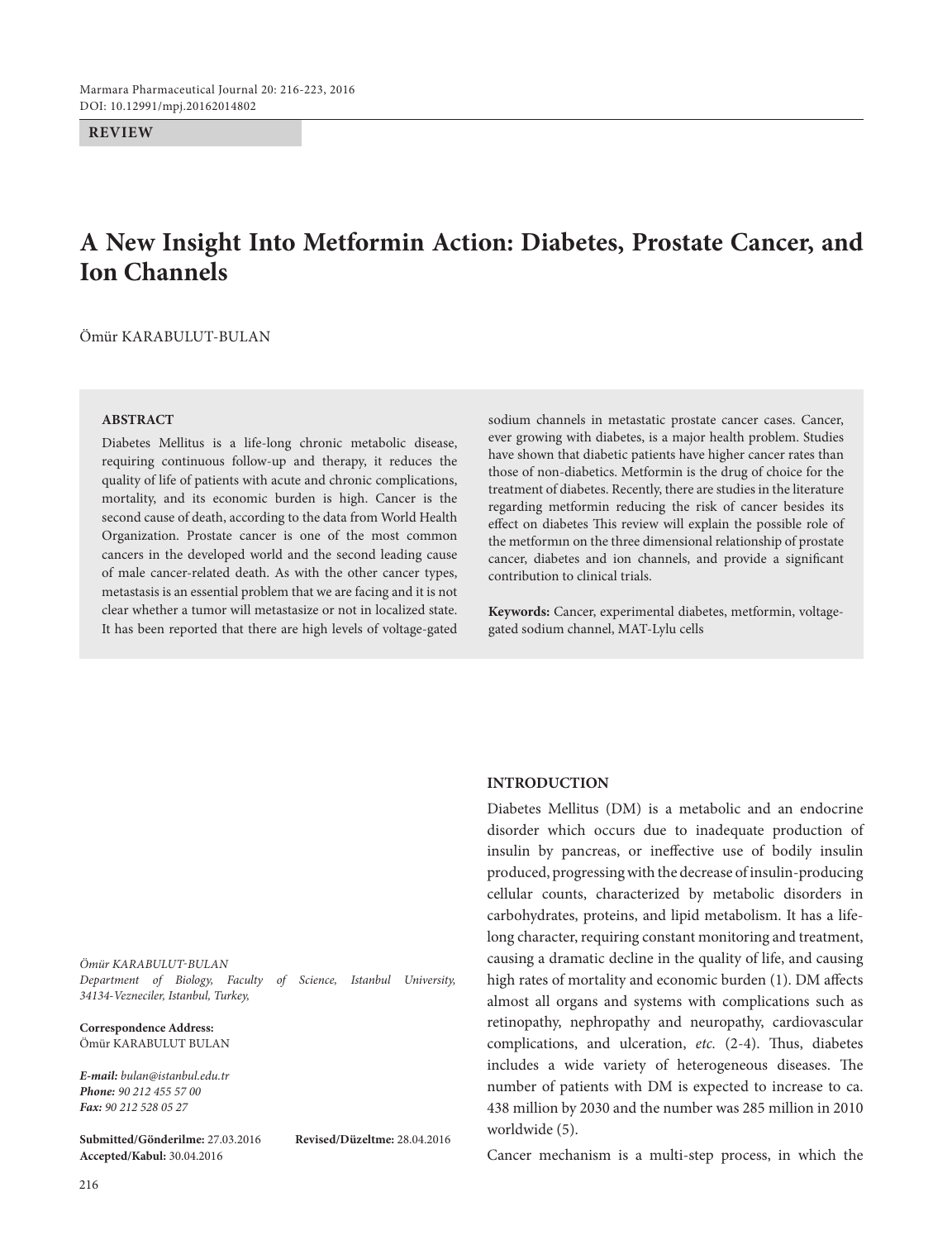#### **REVIEW**

# **A New Insight Into Metformin Action: Diabetes, Prostate Cancer, and Ion Channels**

Ömür KARABULUT-BULAN

## **ABSTRACT**

Diabetes Mellitus is a life-long chronic metabolic disease, requiring continuous follow-up and therapy, it reduces the quality of life of patients with acute and chronic complications, mortality, and its economic burden is high. Cancer is the second cause of death, according to the data from World Health Organization. Prostate cancer is one of the most common cancers in the developed world and the second leading cause of male cancer-related death. As with the other cancer types, metastasis is an essential problem that we are facing and it is not clear whether a tumor will metastasize or not in localized state. It has been reported that there are high levels of voltage-gated sodium channels in metastatic prostate cancer cases. Cancer, ever growing with diabetes, is a major health problem. Studies have shown that diabetic patients have higher cancer rates than those of non-diabetics. Metformin is the drug of choice for the treatment of diabetes. Recently, there are studies in the literature regarding metformin reducing the risk of cancer besides its effect on diabetes This review will explain the possible role of the metformın on the three dimensional relationship of prostate cancer, diabetes and ion channels, and provide a significant contribution to clinical trials.

**Keywords:** Cancer, experimental diabetes, metformin, voltagegated sodium channel, MAT-Lylu cells

*Ömür Karabulut-Bulan Department of Biology, Faculty of Science, Istanbul University, 34134-Vezneciler, Istanbul, Turkey,* 

**Correspondence Address:** Ömür KARABULUT BULAN

*E-mail: bulan@istanbul.edu.tr Phone: 90 212 455 57 00 Fax: 90 212 528 05 27*

**Submitted/Gönderilme:** 27.03.2016 **Revised/Düzeltme:** 28.04.2016 **Accepted/Kabul:** 30.04.2016

# **INTRODUCTION**

Diabetes Mellitus (DM) is a metabolic and an endocrine disorder which occurs due to inadequate production of insulin by pancreas, or ineffective use of bodily insulin produced, progressing with the decrease of insulin-producing cellular counts, characterized by metabolic disorders in carbohydrates, proteins, and lipid metabolism. It has a lifelong character, requiring constant monitoring and treatment, causing a dramatic decline in the quality of life, and causing high rates of mortality and economic burden (1). DM affects almost all organs and systems with complications such as retinopathy, nephropathy and neuropathy, cardiovascular complications, and ulceration, *etc.* (2-4). Thus, diabetes includes a wide variety of heterogeneous diseases. The number of patients with DM is expected to increase to ca. 438 million by 2030 and the number was 285 million in 2010 worldwide (5).

Cancer mechanism is a multi-step process, in which the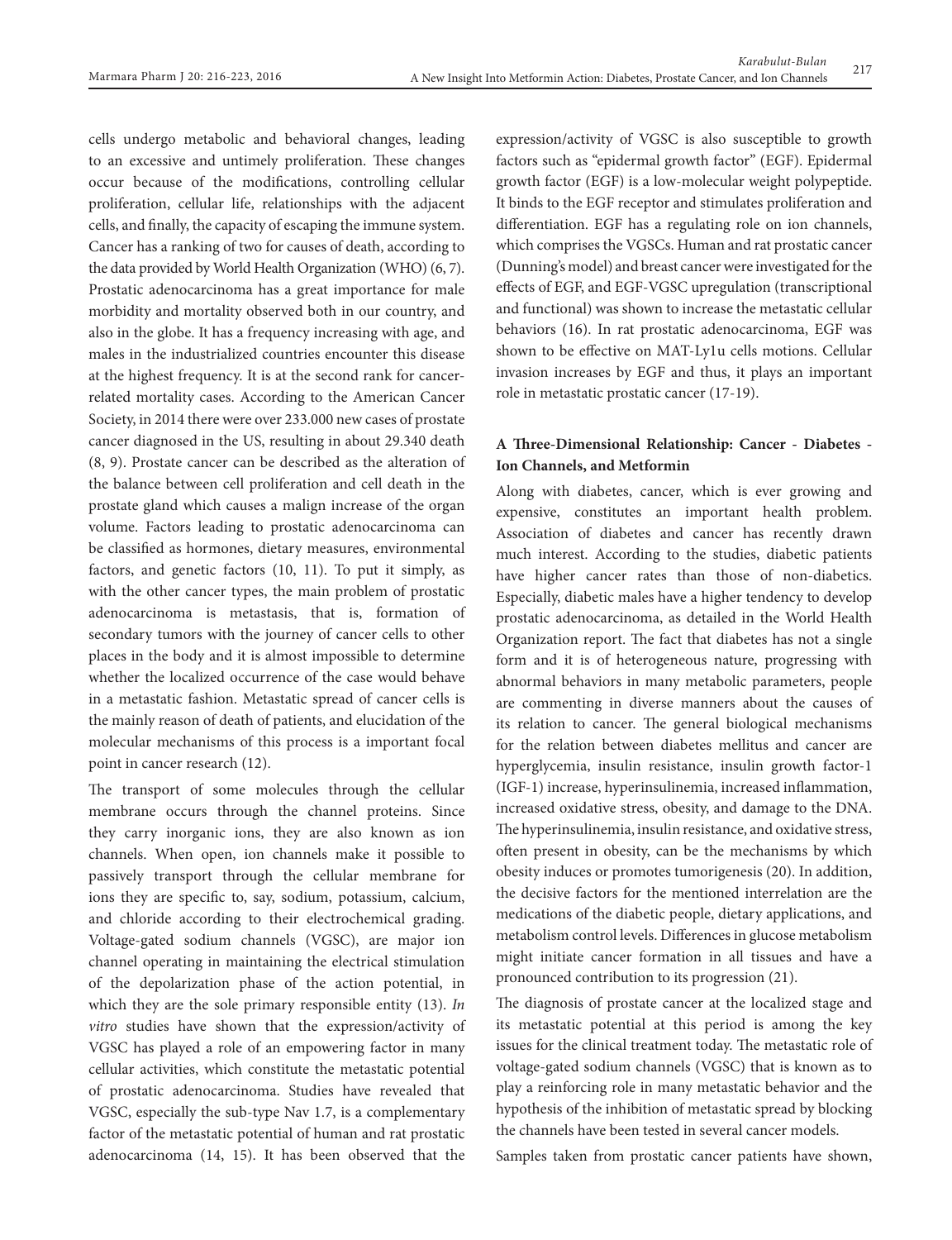cells undergo metabolic and behavioral changes, leading to an excessive and untimely proliferation. These changes occur because of the modifications, controlling cellular proliferation, cellular life, relationships with the adjacent cells, and finally, the capacity of escaping the immune system. Cancer has a ranking of two for causes of death, according to the data provided by World Health Organization (WHO) (6, 7). Prostatic adenocarcinoma has a great importance for male morbidity and mortality observed both in our country, and also in the globe. It has a frequency increasing with age, and males in the industrialized countries encounter this disease at the highest frequency. It is at the second rank for cancerrelated mortality cases. According to the American Cancer Society, in 2014 there were over 233.000 new cases of prostate cancer diagnosed in the US, resulting in about 29.340 death (8, 9). Prostate cancer can be described as the alteration of the balance between cell proliferation and cell death in the prostate gland which causes a malign increase of the organ volume. Factors leading to prostatic adenocarcinoma can be classified as hormones, dietary measures, environmental factors, and genetic factors (10, 11). To put it simply, as with the other cancer types, the main problem of prostatic adenocarcinoma is metastasis, that is, formation of secondary tumors with the journey of cancer cells to other places in the body and it is almost impossible to determine whether the localized occurrence of the case would behave in a metastatic fashion. Metastatic spread of cancer cells is the mainly reason of death of patients, and elucidation of the molecular mechanisms of this process is a important focal point in cancer research (12).

The transport of some molecules through the cellular membrane occurs through the channel proteins. Since they carry inorganic ions, they are also known as ion channels. When open, ion channels make it possible to passively transport through the cellular membrane for ions they are specific to, say, sodium, potassium, calcium, and chloride according to their electrochemical grading. Voltage-gated sodium channels (VGSC), are major ion channel operating in maintaining the electrical stimulation of the depolarization phase of the action potential, in which they are the sole primary responsible entity (13). *In vitro* studies have shown that the expression/activity of VGSC has played a role of an empowering factor in many cellular activities, which constitute the metastatic potential of prostatic adenocarcinoma. Studies have revealed that VGSC, especially the sub-type Nav 1.7, is a complementary factor of the metastatic potential of human and rat prostatic adenocarcinoma (14, 15). It has been observed that the expression/activity of VGSC is also susceptible to growth factors such as "epidermal growth factor" (EGF). Epidermal growth factor (EGF) is a low-molecular weight polypeptide. It binds to the EGF receptor and stimulates proliferation and differentiation. EGF has a regulating role on ion channels, which comprises the VGSCs. Human and rat prostatic cancer (Dunning's model) and breast cancer were investigated for the effects of EGF, and EGF-VGSC upregulation (transcriptional and functional) was shown to increase the metastatic cellular behaviors (16). In rat prostatic adenocarcinoma, EGF was shown to be effective on MAT-Ly1u cells motions. Cellular invasion increases by EGF and thus, it plays an important role in metastatic prostatic cancer (17-19).

## **A Three-Dimensional Relationship: Cancer - Diabetes - Ion Channels, and Metformin**

Along with diabetes, cancer, which is ever growing and expensive, constitutes an important health problem. Association of diabetes and cancer has recently drawn much interest. According to the studies, diabetic patients have higher cancer rates than those of non-diabetics. Especially, diabetic males have a higher tendency to develop prostatic adenocarcinoma, as detailed in the World Health Organization report. The fact that diabetes has not a single form and it is of heterogeneous nature, progressing with abnormal behaviors in many metabolic parameters, people are commenting in diverse manners about the causes of its relation to cancer. The general biological mechanisms for the relation between diabetes mellitus and cancer are hyperglycemia, insulin resistance, insulin growth factor-1 (IGF-1) increase, hyperinsulinemia, increased inflammation, increased oxidative stress, obesity, and damage to the DNA. The hyperinsulinemia, insulin resistance, and oxidative stress, often present in obesity, can be the mechanisms by which obesity induces or promotes tumorigenesis (20). In addition, the decisive factors for the mentioned interrelation are the medications of the diabetic people, dietary applications, and metabolism control levels. Differences in glucose metabolism might initiate cancer formation in all tissues and have a pronounced contribution to its progression (21).

The diagnosis of prostate cancer at the localized stage and its metastatic potential at this period is among the key issues for the clinical treatment today. The metastatic role of voltage-gated sodium channels (VGSC) that is known as to play a reinforcing role in many metastatic behavior and the hypothesis of the inhibition of metastatic spread by blocking the channels have been tested in several cancer models.

Samples taken from prostatic cancer patients have shown,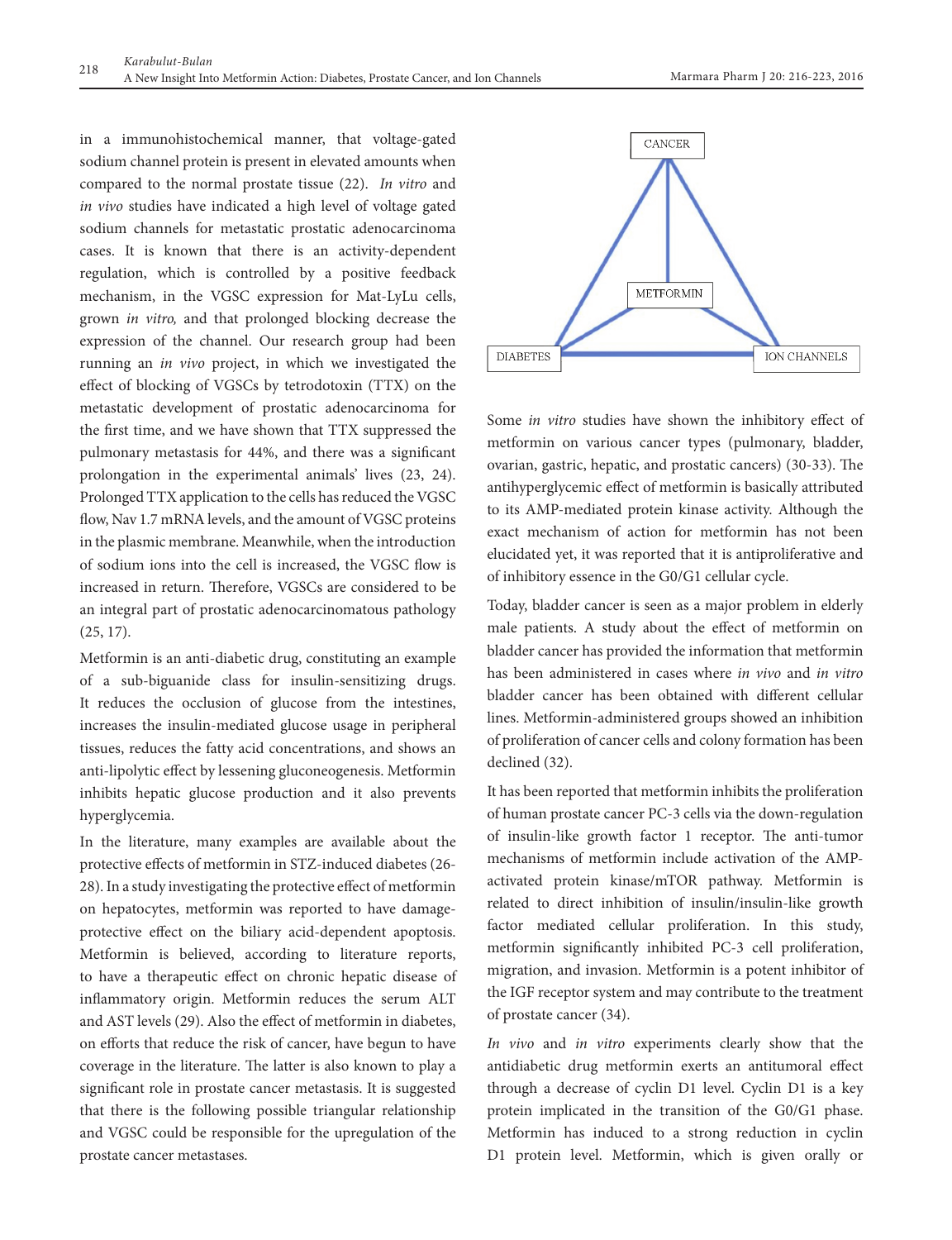in a immunohistochemical manner, that voltage-gated sodium channel protein is present in elevated amounts when compared to the normal prostate tissue (22). *In vitro* and *in vivo* studies have indicated a high level of voltage gated sodium channels for metastatic prostatic adenocarcinoma cases. It is known that there is an activity-dependent regulation, which is controlled by a positive feedback mechanism, in the VGSC expression for Mat-LyLu cells, grown *in vitro,* and that prolonged blocking decrease the expression of the channel. Our research group had been running an *in vivo* project, in which we investigated the effect of blocking of VGSCs by tetrodotoxin (TTX) on the metastatic development of prostatic adenocarcinoma for the first time, and we have shown that TTX suppressed the pulmonary metastasis for 44%, and there was a significant prolongation in the experimental animals' lives (23, 24). Prolonged TTX application to the cells has reduced the VGSC flow, Nav 1.7 mRNA levels, and the amount of VGSC proteins in the plasmic membrane. Meanwhile, when the introduction of sodium ions into the cell is increased, the VGSC flow is increased in return. Therefore, VGSCs are considered to be an integral part of prostatic adenocarcinomatous pathology (25, 17).

Metformin is an anti-diabetic drug, constituting an example of a sub-biguanide class for insulin-sensitizing drugs. It reduces the occlusion of glucose from the intestines, increases the insulin-mediated glucose usage in peripheral tissues, reduces the fatty acid concentrations, and shows an anti-lipolytic effect by lessening gluconeogenesis. Metformin inhibits hepatic glucose production and it also prevents hyperglycemia.

In the literature, many examples are available about the protective effects of metformin in STZ-induced diabetes (26- 28). In a study investigating the protective effect of metformin on hepatocytes, metformin was reported to have damageprotective effect on the biliary acid-dependent apoptosis. Metformin is believed, according to literature reports, to have a therapeutic effect on chronic hepatic disease of inflammatory origin. Metformin reduces the serum ALT and AST levels (29). Also the effect of metformin in diabetes, on efforts that reduce the risk of cancer, have begun to have coverage in the literature. The latter is also known to play a significant role in prostate cancer metastasis. It is suggested that there is the following possible triangular relationship and VGSC could be responsible for the upregulation of the prostate cancer metastases.



Some *in vitro* studies have shown the inhibitory effect of metformin on various cancer types (pulmonary, bladder, ovarian, gastric, hepatic, and prostatic cancers) (30-33). The antihyperglycemic effect of metformin is basically attributed to its AMP-mediated protein kinase activity. Although the exact mechanism of action for metformin has not been elucidated yet, it was reported that it is antiproliferative and of inhibitory essence in the G0/G1 cellular cycle.

Today, bladder cancer is seen as a major problem in elderly male patients. A study about the effect of metformin on bladder cancer has provided the information that metformin has been administered in cases where *in vivo* and *in vitro* bladder cancer has been obtained with different cellular lines. Metformin-administered groups showed an inhibition of proliferation of cancer cells and colony formation has been declined (32).

It has been reported that metformin inhibits the proliferation of human prostate cancer PC-3 cells via the down-regulation of insulin-like growth factor 1 receptor. The anti-tumor mechanisms of metformin include activation of the AMPactivated protein kinase/mTOR pathway. Metformin is related to direct inhibition of insulin/insulin-like growth factor mediated cellular proliferation. In this study, metformin significantly inhibited PC-3 cell proliferation, migration, and invasion. Metformin is a potent inhibitor of the IGF receptor system and may contribute to the treatment of prostate cancer (34).

*In vivo* and *in vitro* experiments clearly show that the antidiabetic drug metformin exerts an antitumoral effect through a decrease of cyclin D1 level. Cyclin D1 is a key protein implicated in the transition of the G0/G1 phase. Metformin has induced to a strong reduction in cyclin D1 protein level. Metformin, which is given orally or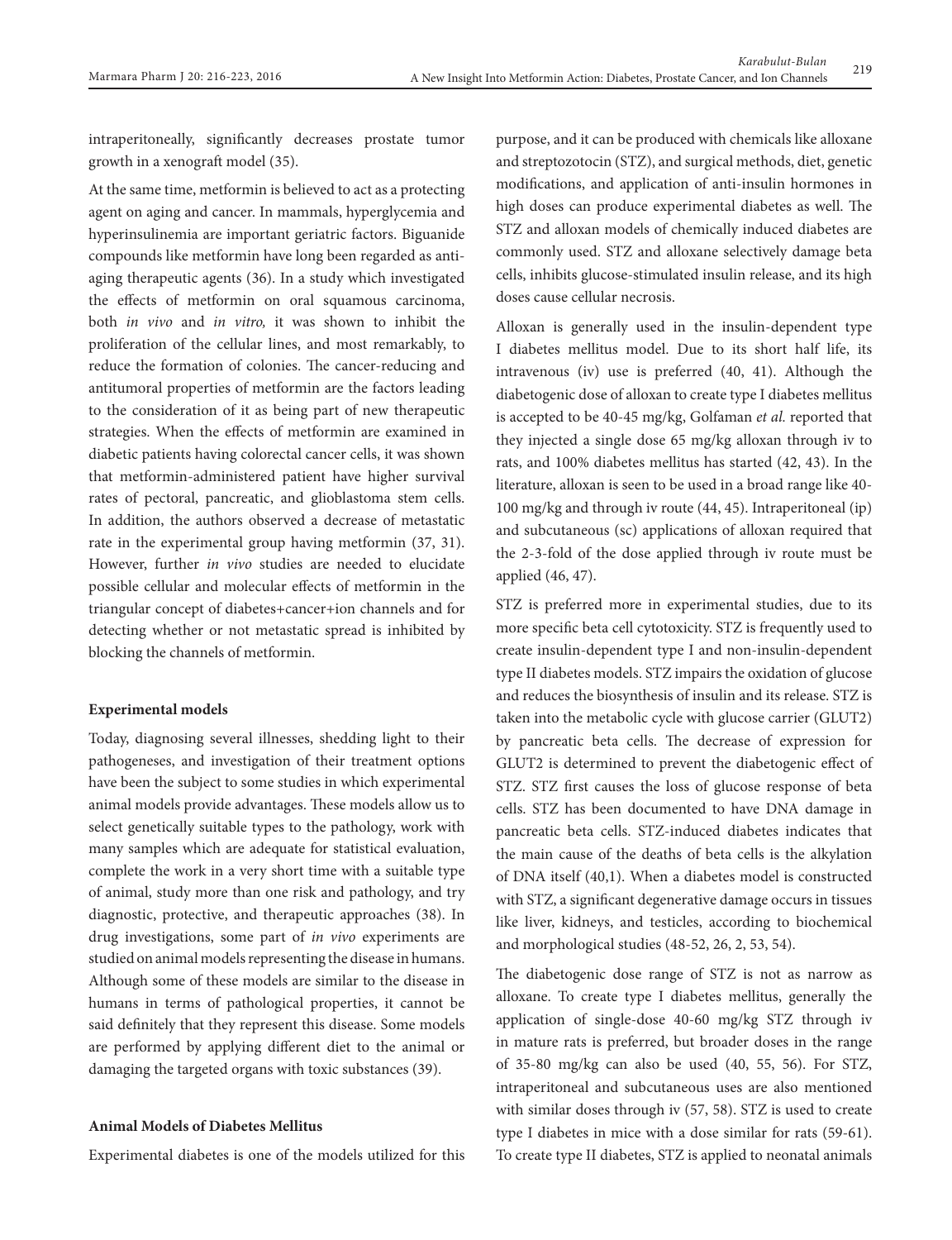intraperitoneally, significantly decreases prostate tumor growth in a xenograft model (35).

At the same time, metformin is believed to act as a protecting agent on aging and cancer. In mammals, hyperglycemia and hyperinsulinemia are important geriatric factors. Biguanide compounds like metformin have long been regarded as antiaging therapeutic agents (36). In a study which investigated the effects of metformin on oral squamous carcinoma, both *in vivo* and *in vitro,* it was shown to inhibit the proliferation of the cellular lines, and most remarkably, to reduce the formation of colonies. The cancer-reducing and antitumoral properties of metformin are the factors leading to the consideration of it as being part of new therapeutic strategies. When the effects of metformin are examined in diabetic patients having colorectal cancer cells, it was shown that metformin-administered patient have higher survival rates of pectoral, pancreatic, and glioblastoma stem cells. In addition, the authors observed a decrease of metastatic rate in the experimental group having metformin (37, 31). However, further *in vivo* studies are needed to elucidate possible cellular and molecular effects of metformin in the triangular concept of diabetes+cancer+ion channels and for detecting whether or not metastatic spread is inhibited by blocking the channels of metformin.

#### **Experimental models**

Today, diagnosing several illnesses, shedding light to their pathogeneses, and investigation of their treatment options have been the subject to some studies in which experimental animal models provide advantages. These models allow us to select genetically suitable types to the pathology, work with many samples which are adequate for statistical evaluation, complete the work in a very short time with a suitable type of animal, study more than one risk and pathology, and try diagnostic, protective, and therapeutic approaches (38). In drug investigations, some part of *in vivo* experiments are studied on animal models representing the disease in humans. Although some of these models are similar to the disease in humans in terms of pathological properties, it cannot be said definitely that they represent this disease. Some models are performed by applying different diet to the animal or damaging the targeted organs with toxic substances (39).

## **Animal Models of Diabetes Mellitus**

Experimental diabetes is one of the models utilized for this

purpose, and it can be produced with chemicals like alloxane and streptozotocin (STZ), and surgical methods, diet, genetic modifications, and application of anti-insulin hormones in high doses can produce experimental diabetes as well. The STZ and alloxan models of chemically induced diabetes are commonly used. STZ and alloxane selectively damage beta cells, inhibits glucose-stimulated insulin release, and its high doses cause cellular necrosis.

Alloxan is generally used in the insulin-dependent type I diabetes mellitus model. Due to its short half life, its intravenous (iv) use is preferred (40, 41). Although the diabetogenic dose of alloxan to create type I diabetes mellitus is accepted to be 40-45 mg/kg, Golfaman *et al.* reported that they injected a single dose 65 mg/kg alloxan through iv to rats, and 100% diabetes mellitus has started (42, 43). In the literature, alloxan is seen to be used in a broad range like 40- 100 mg/kg and through iv route (44, 45). Intraperitoneal (ip) and subcutaneous (sc) applications of alloxan required that the 2-3-fold of the dose applied through iv route must be applied (46, 47).

STZ is preferred more in experimental studies, due to its more specific beta cell cytotoxicity. STZ is frequently used to create insulin-dependent type I and non-insulin-dependent type II diabetes models. STZ impairs the oxidation of glucose and reduces the biosynthesis of insulin and its release. STZ is taken into the metabolic cycle with glucose carrier (GLUT2) by pancreatic beta cells. The decrease of expression for GLUT2 is determined to prevent the diabetogenic effect of STZ. STZ first causes the loss of glucose response of beta cells. STZ has been documented to have DNA damage in pancreatic beta cells. STZ-induced diabetes indicates that the main cause of the deaths of beta cells is the alkylation of DNA itself (40,1). When a diabetes model is constructed with STZ, a significant degenerative damage occurs in tissues like liver, kidneys, and testicles, according to biochemical and morphological studies (48-52, 26, 2, 53, 54).

The diabetogenic dose range of STZ is not as narrow as alloxane. To create type I diabetes mellitus, generally the application of single-dose 40-60 mg/kg STZ through iv in mature rats is preferred, but broader doses in the range of 35-80 mg/kg can also be used (40, 55, 56). For STZ, intraperitoneal and subcutaneous uses are also mentioned with similar doses through iv (57, 58). STZ is used to create type I diabetes in mice with a dose similar for rats (59-61). To create type II diabetes, STZ is applied to neonatal animals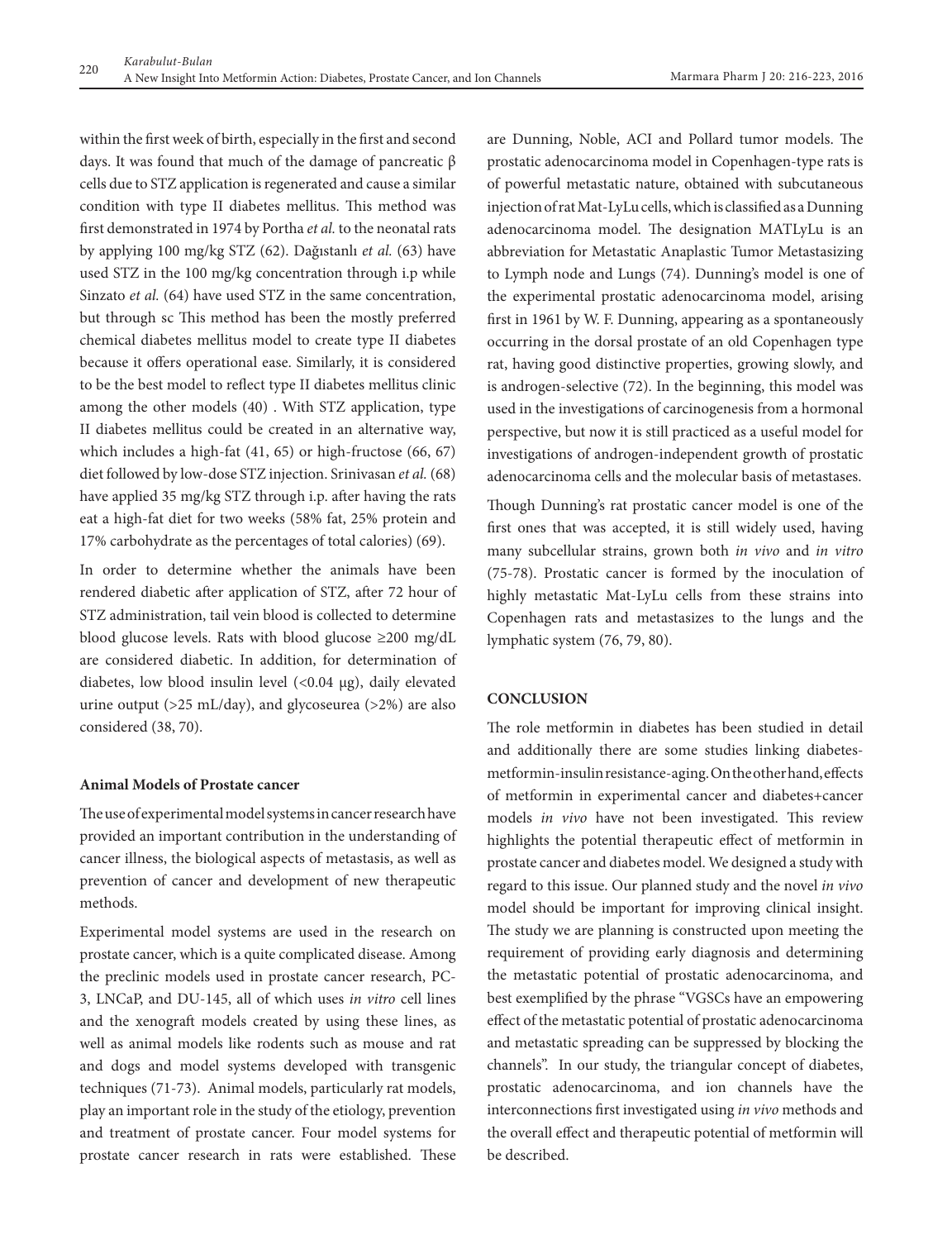within the first week of birth, especially in the first and second days. It was found that much of the damage of pancreatic β cells due to STZ application is regenerated and cause a similar condition with type II diabetes mellitus. This method was first demonstrated in 1974 by Portha *et al.* to the neonatal rats by applying 100 mg/kg STZ (62). Dağıstanlı *et al.* (63) have used STZ in the 100 mg/kg concentration through i.p while Sinzato *et al.* (64) have used STZ in the same concentration, but through sc This method has been the mostly preferred chemical diabetes mellitus model to create type II diabetes because it offers operational ease. Similarly, it is considered to be the best model to reflect type II diabetes mellitus clinic among the other models (40) . With STZ application, type II diabetes mellitus could be created in an alternative way, which includes a high-fat (41, 65) or high-fructose (66, 67) diet followed by low-dose STZ injection. Srinivasan *et al.* (68) have applied 35 mg/kg STZ through i.p. after having the rats eat a high-fat diet for two weeks (58% fat, 25% protein and 17% carbohydrate as the percentages of total calories) (69).

In order to determine whether the animals have been rendered diabetic after application of STZ, after 72 hour of STZ administration, tail vein blood is collected to determine blood glucose levels. Rats with blood glucose ≥200 mg/dL are considered diabetic. In addition, for determination of diabetes, low blood insulin level (<0.04 μg), daily elevated urine output (>25 mL/day), and glycoseurea (>2%) are also considered (38, 70).

#### **Animal Models of Prostate cancer**

The use of experimental model systems in cancer research have provided an important contribution in the understanding of cancer illness, the biological aspects of metastasis, as well as prevention of cancer and development of new therapeutic methods.

Experimental model systems are used in the research on prostate cancer, which is a quite complicated disease. Among the preclinic models used in prostate cancer research, PC-3, LNCaP, and DU-145, all of which uses *in vitro* cell lines and the xenograft models created by using these lines, as well as animal models like rodents such as mouse and rat and dogs and model systems developed with transgenic techniques (71-73). Animal models, particularly rat models, play an important role in the study of the etiology, prevention and treatment of prostate cancer. Four model systems for prostate cancer research in rats were established. These

are Dunning, Noble, ACI and Pollard tumor models. The prostatic adenocarcinoma model in Copenhagen-type rats is of powerful metastatic nature, obtained with subcutaneous injection of rat Mat-LyLu cells, which is classified as a Dunning adenocarcinoma model. The designation MATLyLu is an abbreviation for Metastatic Anaplastic Tumor Metastasizing to Lymph node and Lungs (74). Dunning's model is one of the experimental prostatic adenocarcinoma model, arising first in 1961 by W. F. Dunning, appearing as a spontaneously occurring in the dorsal prostate of an old Copenhagen type rat, having good distinctive properties, growing slowly, and is androgen-selective (72). In the beginning, this model was used in the investigations of carcinogenesis from a hormonal perspective, but now it is still practiced as a useful model for investigations of androgen-independent growth of prostatic adenocarcinoma cells and the molecular basis of metastases.

Though Dunning's rat prostatic cancer model is one of the first ones that was accepted, it is still widely used, having many subcellular strains, grown both *in vivo* and *in vitro* (75-78). Prostatic cancer is formed by the inoculation of highly metastatic Mat-LyLu cells from these strains into Copenhagen rats and metastasizes to the lungs and the lymphatic system (76, 79, 80).

#### **CONCLUSION**

The role metformin in diabetes has been studied in detail and additionally there are some studies linking diabetesmetformin-insulin resistance-aging. On the other hand, effects of metformin in experimental cancer and diabetes+cancer models *in vivo* have not been investigated. This review highlights the potential therapeutic effect of metformin in prostate cancer and diabetes model. We designed a study with regard to this issue. Our planned study and the novel *in vivo* model should be important for improving clinical insight. The study we are planning is constructed upon meeting the requirement of providing early diagnosis and determining the metastatic potential of prostatic adenocarcinoma, and best exemplified by the phrase "VGSCs have an empowering effect of the metastatic potential of prostatic adenocarcinoma and metastatic spreading can be suppressed by blocking the channels". In our study, the triangular concept of diabetes, prostatic adenocarcinoma, and ion channels have the interconnections first investigated using *in vivo* methods and the overall effect and therapeutic potential of metformin will be described.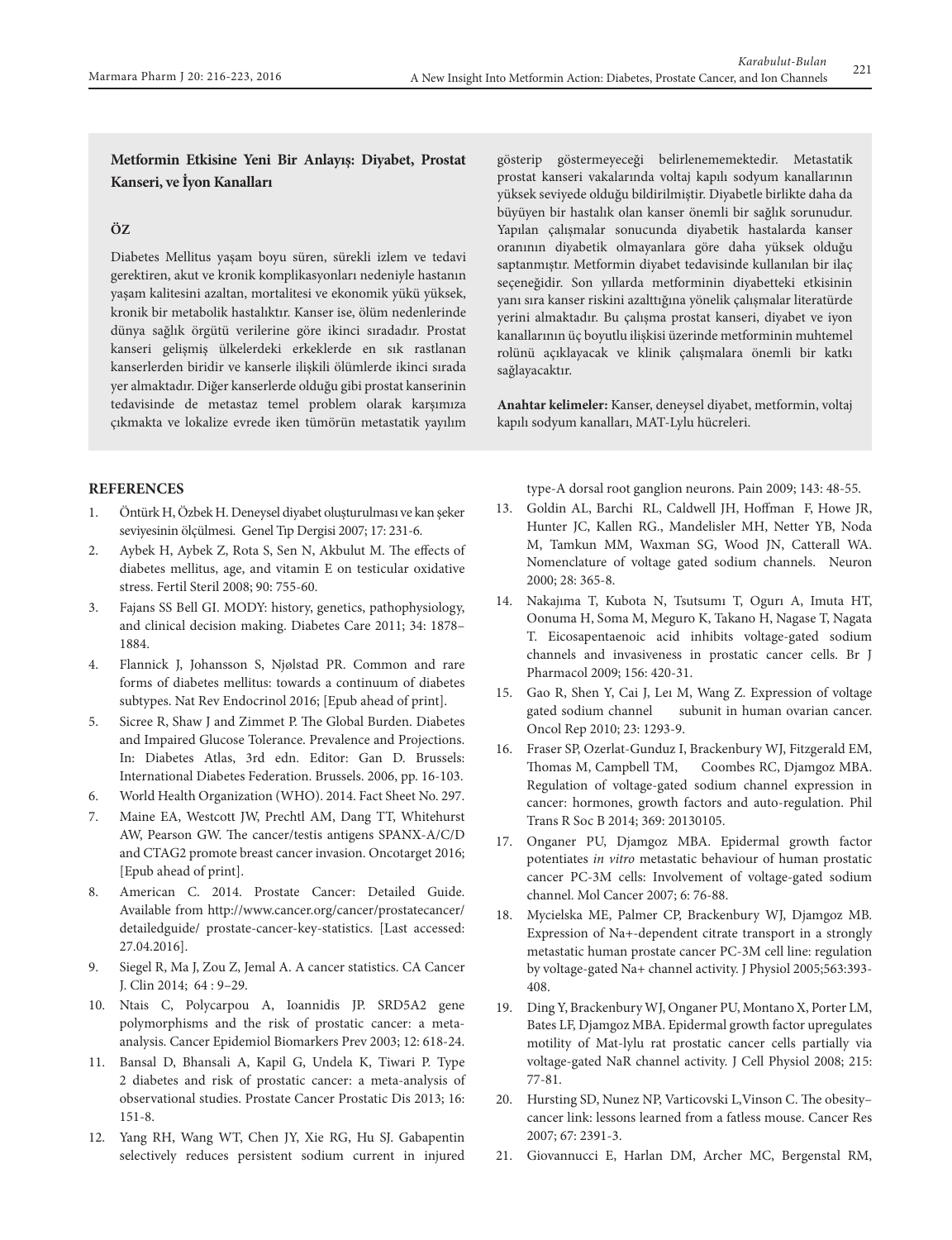## **Metformin Etkisine Yeni Bir Anlayış: Diyabet, Prostat Kanseri, ve İyon Kanalları**

## **ÖZ**

Diabetes Mellitus yaşam boyu süren, sürekli izlem ve tedavi gerektiren, akut ve kronik komplikasyonları nedeniyle hastanın yaşam kalitesini azaltan, mortalitesi ve ekonomik yükü yüksek, kronik bir metabolik hastalıktır. Kanser ise, ölüm nedenlerinde dünya sağlık örgütü verilerine göre ikinci sıradadır. Prostat kanseri gelişmiş ülkelerdeki erkeklerde en sık rastlanan kanserlerden biridir ve kanserle ilişkili ölümlerde ikinci sırada yer almaktadır. Diğer kanserlerde olduğu gibi prostat kanserinin tedavisinde de metastaz temel problem olarak karşımıza çıkmakta ve lokalize evrede iken tümörün metastatik yayılım

gösterip göstermeyeceği belirlenememektedir. Metastatik prostat kanseri vakalarında voltaj kapılı sodyum kanallarının yüksek seviyede olduğu bildirilmiştir. Diyabetle birlikte daha da büyüyen bir hastalık olan kanser önemli bir sağlık sorunudur. Yapılan çalışmalar sonucunda diyabetik hastalarda kanser oranının diyabetik olmayanlara göre daha yüksek olduğu saptanmıştır. Metformin diyabet tedavisinde kullanılan bir ilaç seçeneğidir. Son yıllarda metforminin diyabetteki etkisinin yanı sıra kanser riskini azalttığına yönelik çalışmalar literatürde yerini almaktadır. Bu çalışma prostat kanseri, diyabet ve iyon kanallarının üç boyutlu ilişkisi üzerinde metforminin muhtemel rolünü açıklayacak ve klinik çalışmalara önemli bir katkı sağlayacaktır.

**Anahtar kelimeler:** Kanser, deneysel diyabet, metformin, voltaj kapılı sodyum kanalları, MAT-Lylu hücreleri.

### **REFERENCES**

- 1. Öntürk H, Özbek H. Deneysel diyabet oluşturulması ve kan şeker seviyesinin ölçülmesi. Genel Tıp Dergisi 2007; 17: 231-6.
- 2. Aybek H, Aybek Z, Rota S, Sen N, Akbulut M. The effects of diabetes mellitus, age, and vitamin E on testicular oxidative stress. Fertil Steril 2008; 90: 755-60.
- 3. Fajans SS Bell GI. MODY: history, genetics, pathophysiology, and clinical decision making. Diabetes Care 2011; 34: 1878– 1884.
- 4. Flannick J, Johansson S, Njølstad PR. Common and rare forms of diabetes mellitus: towards a continuum of diabetes subtypes. Nat Rev Endocrinol 2016; [Epub ahead of print].
- 5. Sicree R, Shaw J and Zimmet P. The Global Burden. Diabetes and Impaired Glucose Tolerance. Prevalence and Projections. In: Diabetes Atlas, 3rd edn. Editor: Gan D. Brussels: International Diabetes Federation. Brussels. 2006, pp. 16-103.
- 6. World Health Organization (WHO). 2014. Fact Sheet No. 297.
- 7. Maine EA, Westcott JW, Prechtl AM, Dang TT, Whitehurst AW, Pearson GW. The cancer/testis antigens SPANX-A/C/D and CTAG2 promote breast cancer invasion. Oncotarget 2016; [Epub ahead of print].
- 8. American C. 2014. Prostate Cancer: Detailed Guide. Available from http://www.cancer.org/cancer/prostatecancer/ detailedguide/ prostate-cancer-key-statistics. [Last accessed: 27.04.2016].
- 9. Siegel R, Ma J, Zou Z, Jemal A. A cancer statistics. CA Cancer J. Clin 2014; 64 : 9–29.
- 10. Ntais C, Polycarpou A, Ioannidis JP. SRD5A2 gene polymorphisms and the risk of prostatic cancer: a metaanalysis. Cancer Epidemiol Biomarkers Prev 2003; 12: 618-24.
- 11. Bansal D, Bhansali A, Kapil G, Undela K, Tiwari P. Type 2 diabetes and risk of prostatic cancer: a meta-analysis of observational studies. Prostate Cancer Prostatic Dis 2013; 16: 151-8.
- 12. Yang RH, Wang WT, Chen JY, Xie RG, Hu SJ. Gabapentin selectively reduces persistent sodium current in injured

type-A dorsal root ganglion neurons. Pain 2009; 143: 48-55.

- 13. Goldin AL, Barchi RL, Caldwell JH, Hoffman F, Howe JR, Hunter JC, Kallen RG., Mandelisler MH, Netter YB, Noda M, Tamkun MM, Waxman SG, Wood JN, Catterall WA. Nomenclature of voltage gated sodium channels. Neuron 2000; 28: 365-8.
- 14. Nakajıma T, Kubota N, Tsutsumı T, Ogurı A, Imuta HT, Oonuma H, Soma M, Meguro K, Takano H, Nagase T, Nagata T. Eicosapentaenoic acid inhibits voltage-gated sodium channels and invasiveness in prostatic cancer cells. Br J Pharmacol 2009; 156: 420-31.
- 15. Gao R, Shen Y, Cai J, Leı M, Wang Z. Expression of voltage gated sodium channel subunit in human ovarian cancer. Oncol Rep 2010; 23: 1293-9.
- 16. Fraser SP, Ozerlat-Gunduz I, Brackenbury WJ, Fitzgerald EM, Thomas M, Campbell TM, Coombes RC, Djamgoz MBA. Regulation of voltage-gated sodium channel expression in cancer: hormones, growth factors and auto-regulation. Phil Trans R Soc B 2014; 369: 20130105.
- 17. Onganer PU, Djamgoz MBA. Epidermal growth factor potentiates *in vitro* metastatic behaviour of human prostatic cancer PC-3M cells: Involvement of voltage-gated sodium channel. Mol Cancer 2007; 6: 76-88.
- 18. Mycielska ME, Palmer CP, Brackenbury WJ, Djamgoz MB. Expression of Na+-dependent citrate transport in a strongly metastatic human prostate cancer PC-3M cell line: regulation by voltage-gated Na+ channel activity. J Physiol 2005;563:393- 408.
- 19. Ding Y, Brackenbury WJ, Onganer PU, Montano X, Porter LM, Bates LF, Djamgoz MBA. Epidermal growth factor upregulates motility of Mat-lylu rat prostatic cancer cells partially via voltage-gated NaR channel activity. J Cell Physiol 2008; 215: 77-81.
- 20. Hursting SD, Nunez NP, Varticovski L,Vinson C. The obesity– cancer link: lessons learned from a fatless mouse. Cancer Res 2007; 67: 2391-3.
- 21. Giovannucci E, Harlan DM, Archer MC, Bergenstal RM,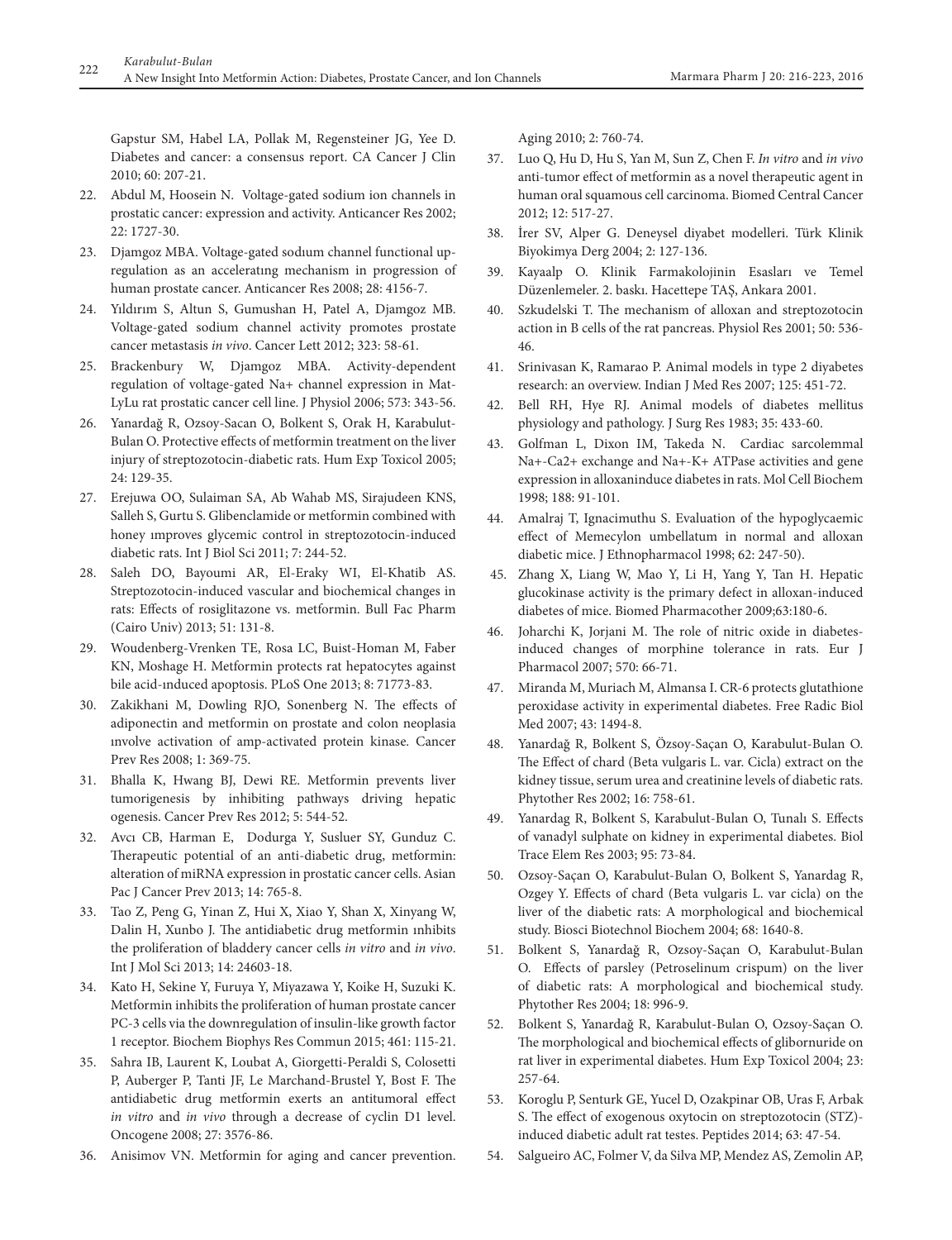Gapstur SM, Habel LA, Pollak M, Regensteiner JG, Yee D. Diabetes and cancer: a consensus report. CA Cancer J Clin 2010; 60: 207-21.

- 22. Abdul M, Hoosein N. Voltage-gated sodium ion channels in prostatic cancer: expression and activity. Anticancer Res 2002; 22: 1727-30.
- 23. Djamgoz MBA. Voltage-gated sodıum channel functional upregulation as an acceleratıng mechanism in progression of human prostate cancer. Anticancer Res 2008; 28: 4156-7.
- 24. Yıldırım S, Altun S, Gumushan H, Patel A, Djamgoz MB. Voltage-gated sodium channel activity promotes prostate cancer metastasis *in vivo*. Cancer Lett 2012; 323: 58-61.
- 25. Brackenbury W, Djamgoz MBA. Activity-dependent regulation of voltage-gated Na+ channel expression in Mat-LyLu rat prostatic cancer cell line. J Physiol 2006; 573: 343-56.
- 26. Yanardağ R, Ozsoy-Sacan O, Bolkent S, Orak H, Karabulut-Bulan O. Protective effects of metformin treatment on the liver injury of streptozotocin-diabetic rats. Hum Exp Toxicol 2005; 24: 129-35.
- 27. Erejuwa OO, Sulaiman SA, Ab Wahab MS, Sirajudeen KNS, Salleh S, Gurtu S. Glibenclamide or metformin combined with honey ımproves glycemic control in streptozotocin-induced diabetic rats. Int J Biol Sci 2011; 7: 244-52.
- 28. Saleh DO, Bayoumi AR, El-Eraky WI, El-Khatib AS. Streptozotocin-induced vascular and biochemical changes in rats: Effects of rosiglitazone vs. metformin. Bull Fac Pharm (Cairo Univ) 2013; 51: 131-8.
- 29. Woudenberg-Vrenken TE, Rosa LC, Buist-Homan M, Faber KN, Moshage H. Metformin protects rat hepatocytes against bile acid-ınduced apoptosis. PLoS One 2013; 8: 71773-83.
- 30. Zakikhani M, Dowling RJO, Sonenberg N. The effects of adiponectin and metformin on prostate and colon neoplasia ınvolve activation of amp-activated protein kinase. Cancer Prev Res 2008; 1: 369-75.
- 31. Bhalla K, Hwang BJ, Dewi RE. Metformin prevents liver tumorigenesis by inhibiting pathways driving hepatic ogenesis. Cancer Prev Res 2012; 5: 544-52.
- 32. Avcı CB, Harman E, Dodurga Y, Susluer SY, Gunduz C. Therapeutic potential of an anti-diabetic drug, metformin: alteration of miRNA expression in prostatic cancer cells. Asian Pac J Cancer Prev 2013; 14: 765-8.
- 33. Tao Z, Peng G, Yinan Z, Hui X, Xiao Y, Shan X, Xinyang W, Dalin H, Xunbo J. The antidiabetic drug metformin ınhibits the proliferation of bladdery cancer cells *in vitro* and *in vivo*. Int J Mol Sci 2013; 14: 24603-18.
- 34. Kato H, Sekine Y, Furuya Y, Miyazawa Y, Koike H, Suzuki K. Metformin inhibits the proliferation of human prostate cancer PC-3 cells via the downregulation of insulin-like growth factor 1 receptor. Biochem Biophys Res Commun 2015; 461: 115-21.
- 35. Sahra IB, Laurent K, Loubat A, Giorgetti-Peraldi S, Colosetti P, Auberger P, Tanti JF, Le Marchand-Brustel Y, Bost F. The antidiabetic drug metformin exerts an antitumoral effect *in vitro* and *in vivo* through a decrease of cyclin D1 level. Oncogene 2008; 27: 3576-86.
- 36. Anisimov VN. Metformin for aging and cancer prevention.

Aging 2010; 2: 760-74.

- 37. Luo Q, Hu D, Hu S, Yan M, Sun Z, Chen F. *In vitro* and *in vivo* anti-tumor effect of metformin as a novel therapeutic agent in human oral squamous cell carcinoma. Biomed Central Cancer 2012; 12: 517-27.
- 38. İrer SV, Alper G. Deneysel diyabet modelleri. Türk Klinik Biyokimya Derg 2004; 2: 127-136.
- 39. Kayaalp O. Klinik Farmakolojinin Esasları ve Temel Düzenlemeler. 2. baskı. Hacettepe TAŞ, Ankara 2001.
- 40. Szkudelski T. The mechanism of alloxan and streptozotocin action in B cells of the rat pancreas. Physiol Res 2001; 50: 536- 46.
- 41. Srinivasan K, Ramarao P. Animal models in type 2 diyabetes research: an overview. Indian J Med Res 2007; 125: 451-72.
- 42. Bell RH, Hye RJ. Animal models of diabetes mellitus physiology and pathology. J Surg Res 1983; 35: 433-60.
- 43. Golfman L, Dixon IM, Takeda N. Cardiac sarcolemmal Na+-Ca2+ exchange and Na+-K+ ATPase activities and gene expression in alloxaninduce diabetes in rats. Mol Cell Biochem 1998; 188: 91-101.
- 44. Amalraj T, Ignacimuthu S. Evaluation of the hypoglycaemic effect of Memecylon umbellatum in normal and alloxan diabetic mice. J Ethnopharmacol 1998; 62: 247-50).
- 45. Zhang X, Liang W, Mao Y, Li H, Yang Y, Tan H. Hepatic glucokinase activity is the primary defect in alloxan-induced diabetes of mice. Biomed Pharmacother 2009;63:180-6.
- 46. Joharchi K, Jorjani M. The role of nitric oxide in diabetesinduced changes of morphine tolerance in rats. Eur J Pharmacol 2007; 570: 66-71.
- 47. Miranda M, Muriach M, Almansa I. CR-6 protects glutathione peroxidase activity in experimental diabetes. Free Radic Biol Med 2007; 43: 1494-8.
- 48. Yanardağ R, Bolkent S, Özsoy-Saçan O, Karabulut-Bulan O. The Effect of chard (Beta vulgaris L. var. Cicla) extract on the kidney tissue, serum urea and creatinine levels of diabetic rats. Phytother Res 2002; 16: 758-61.
- 49. Yanardag R, Bolkent S, Karabulut-Bulan O, Tunalı S. Effects of vanadyl sulphate on kidney in experimental diabetes. Biol Trace Elem Res 2003; 95: 73-84.
- 50. Ozsoy-Saçan O, Karabulut-Bulan O, Bolkent S, Yanardag R, Ozgey Y. Effects of chard (Beta vulgaris L. var cicla) on the liver of the diabetic rats: A morphological and biochemical study. Biosci Biotechnol Biochem 2004; 68: 1640-8.
- 51. Bolkent S, Yanardağ R, Ozsoy-Saçan O, Karabulut-Bulan O. Effects of parsley (Petroselinum crispum) on the liver of diabetic rats: A morphological and biochemical study. Phytother Res 2004; 18: 996-9.
- 52. Bolkent S, Yanardağ R, Karabulut-Bulan O, Ozsoy-Saçan O. The morphological and biochemical effects of glibornuride on rat liver in experimental diabetes. Hum Exp Toxicol 2004; 23: 257-64.
- 53. Koroglu P, Senturk GE, Yucel D, Ozakpinar OB, Uras F, Arbak S. The effect of exogenous oxytocin on streptozotocin (STZ) induced diabetic adult rat testes. Peptides 2014; 63: 47-54.
- 54. Salgueiro AC, Folmer V, da Silva MP, Mendez AS, Zemolin AP,